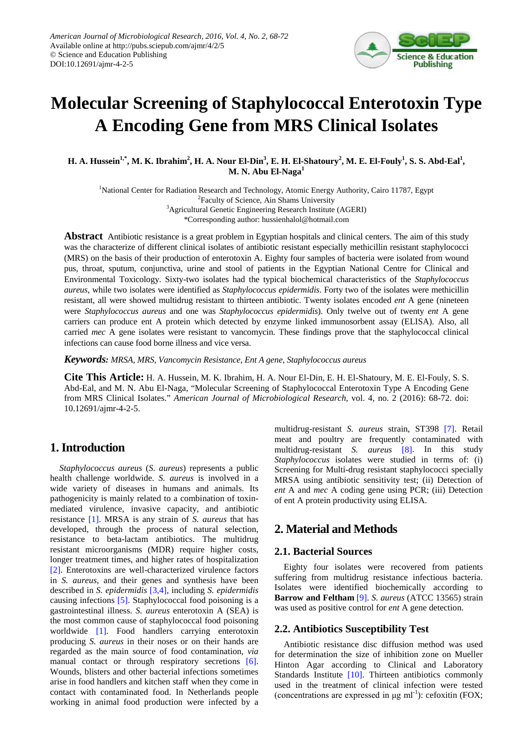

# **Molecular Screening of Staphylococcal Enterotoxin Type A Encoding Gene from MRS Clinical Isolates**

**H. A. Hussein<sup>1,\*</sup>, M. K. Ibrahim<sup>2</sup>, H. A. Nour El-Din<sup>3</sup>, E. H. El-Shatoury<sup>2</sup>, M. E. El-Fouly<sup>1</sup>, S. S. Abd-Eal<sup>1</sup>, M. N. Abu El-Naga<sup>1</sup>**

<sup>1</sup>National Center for Radiation Research and Technology, Atomic Energy Authority, Cairo 11787, Egypt <sup>2</sup>Faculty of Science, Ain Shams University <sup>3</sup>Agricultural Genetic Engineering Research Institute (AGERI) \*Corresponding author: hussienhalol@hotmail.com

**Abstract** Antibiotic resistance is a great problem in Egyptian hospitals and clinical centers. The aim of this study was the characterize of different clinical isolates of antibiotic resistant especially methicillin resistant staphylococci (MRS) on the basis of their production of enterotoxin A. Eighty four samples of bacteria were isolated from wound pus, throat, sputum, conjunctiva, urine and stool of patients in the Egyptian National Centre for Clinical and Environmental Toxicology. Sixty-two isolates had the typical biochemical characteristics of the *Staphylococcus aureus*, while two isolates were identified as *Staphylococcus epidermidis*. Forty two of the isolates were methicillin resistant, all were showed multidrug resistant to thirteen antibiotic. Twenty isolates encoded *ent* A gene (nineteen were *Staphylococcus aureus* and one was *Staphylococcus epidermidis*). Only twelve out of twenty *ent* A gene carriers can produce ent A protein which detected by enzyme linked immunosorbent assay (ELISA). Also, all carried *mec* A gene isolates were resistant to vancomycin. These findings prove that the staphylococcal clinical infections can cause food borne illness and vice versa.

*Keywords: MRSA, MRS, Vancomycin Resistance, Ent A gene, Staphylococcus aureus*

**Cite This Article:** H. A. Hussein, M. K. Ibrahim, H. A. Nour El-Din, E. H. El-Shatoury, M. E. El-Fouly, S. S. Abd-Eal, and M. N. Abu El-Naga, "Molecular Screening of Staphylococcal Enterotoxin Type A Encoding Gene from MRS Clinical Isolates." *American Journal of Microbiological Research*, vol. 4, no. 2 (2016): 68-72. doi: 10.12691/ajmr-4-2-5.

# **1. Introduction**

*Staphylococcus aureus* (*S. aureus*) represents a public health challenge worldwide. *S. aureus* is involved in a wide variety of diseases in humans and animals. Its pathogenicity is mainly related to a combination of toxinmediated virulence, invasive capacity, and antibiotic resistance [\[1\].](#page-3-0) MRSA is any strain of *S. aureus* that has developed, through the process of natural selection, resistance to beta-lactam antibiotics. The multidrug resistant microorganisms (MDR) require higher costs, longer treatment times, and higher rates of hospitalization [\[2\].](#page-3-1) Enterotoxins are well-characterized virulence factors in *S. aureus*, and their genes and synthesis have been described in *S. epidermidis* [\[3,4\],](#page-3-2) including *S. epidermidis* causing infections [\[5\].](#page-4-0) Staphylococcal food poisoning is a gastrointestinal illness. *S. aureus* enterotoxin A (SEA) is the most common cause of staphylococcal food poisoning worldwide [\[1\].](#page-3-0) Food handlers carrying enterotoxin producing *S. aureus* in their noses or on their hands are regarded as the main source of food contamination, *via* manual contact or through respiratory secretions [\[6\].](#page-4-1) Wounds, blisters and other bacterial infections sometimes arise in food handlers and kitchen staff when they come in contact with contaminated food. In Netherlands people working in animal food production were infected by a

multidrug-resistant *S. aureus* strain, ST398 [\[7\].](#page-4-2) Retail meat and poultry are frequently contaminated with multidrug-resistant *S. aureus* [\[8\].](#page-4-3) In this study *Staphylococcus* isolates were studied in terms of: (i) Screening for Multi-drug resistant staphylococci specially MRSA using antibiotic sensitivity test; (ii) Detection of *ent* A and *mec* A coding gene using PCR; (iii) Detection of ent A protein productivity using ELISA.

# **2. Material and Methods**

#### **2.1. Bacterial Sources**

Eighty four isolates were recovered from patients suffering from multidrug resistance infectious bacteria. Isolates were identified biochemically according to **Barrow and Feltham** [\[9\].](#page-4-4) *S. aureus* (ATCC 13565) strain was used as positive control for *ent* A gene detection.

## **2.2. Antibiotics Susceptibility Test**

Antibiotic resistance disc diffusion method was used for determination the size of inhibition zone on Mueller Hinton Agar according to Clinical and Laboratory Standards Institute [\[10\].](#page-4-5) Thirteen antibiotics commonly used in the treatment of clinical infection were tested (concentrations are expressed in  $\mu$ g ml<sup>-1</sup>): cefoxitin (FOX;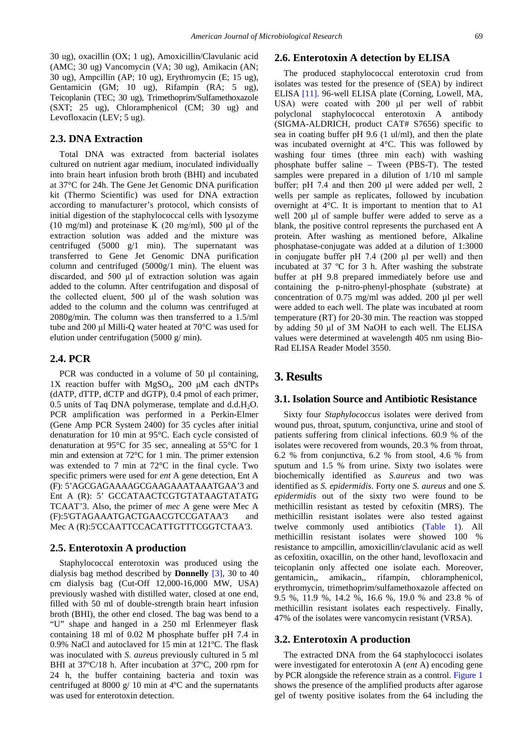30 ug), oxacillin (OX; 1 ug), Amoxicillin/Clavulanic acid (AMC; 30 ug) Vancomycin (VA; 30 ug), Amikacin (AN; 30 ug), Ampcillin (AP; 10 ug), Erythromycin (E; 15 ug), Gentamicin (GM; 10 ug), Rifampin (RA; 5 ug), Teicoplanin (TEC; 30 ug), Trimethoprim/Sulfamethoxazole (SXT; 25 ug), Chloramphenicol (CM; 30 ug) and Levofloxacin (LEV; 5 ug).

#### **2.3. DNA Extraction**

Total DNA was extracted from bacterial isolates cultured on nutrient agar medium, inoculated individually into brain heart infusion broth broth (BHI) and incubated at 37°C for 24h. The Gene Jet Genomic DNA purification kit (Thermo Scientific) was used for DNA extraction according to manufacturer's protocol, which consists of initial digestion of the staphylococcal cells with lysozyme (10 mg/ml) and proteinase K (20 mg/ml), 500  $\mu$ l of the extraction solution was added and the mixture was centrifuged (5000 g/1 min). The supernatant was transferred to Gene Jet Genomic DNA purification column and centrifuged (5000g/1 min). The eluent was discarded, and 500 μl of extraction solution was again added to the column. After centrifugation and disposal of the collected eluent, 500 μl of the wash solution was added to the column and the column was centrifuged at 2080g/min. The column was then transferred to a 1.5/ml tube and 200 μl Milli-Q water heated at 70°C was used for elution under centrifugation (5000 g/ min).

#### **2.4. PCR**

PCR was conducted in a volume of 50 µl containing, 1X reaction buffer with  $MgSO<sub>4</sub>$ , 200  $\mu$ M each dNTPs (dATP, dTTP, dCTP and dGTP), 0.4 pmol of each primer, 0.5 units of Taq DNA polymerase, template and  $d.d.H<sub>2</sub>O$ . PCR amplification was performed in a Perkin-Elmer (Gene Amp PCR System 2400) for 35 cycles after initial denaturation for 10 min at 95°C. Each cycle consisted of denaturation at 95°C for 35 sec, annealing at 55°C for 1 min and extension at 72°C for 1 min. The primer extension was extended to 7 min at 72°C in the final cycle. Two specific primers were used for *ent* A gene detection, Ent A (F): 5'AGCGAGAAAAGCGAAGAAATAAATGAA'3 and Ent A (R): 5' GCCATAACTCGTGTATAAGTATATG TCAAT'3. Also, the primer of *mec* A gene were Mec A (F):5'GTAGAAATGACTGAACGTCCGATAA'3 and Mec A (R):5'CCAATTCCACATTGTTTCGGTCTAA'3.

#### **2.5. Enterotoxin A production**

Staphylococcal enterotoxin was produced using the dialysis bag method described by **Donnelly** [\[3\],](#page-3-2) 30 to 40 cm dialysis bag (Cut-Off 12,000-16,000 MW, USA) previously washed with distilled water, closed at one end, filled with 50 ml of double-strength brain heart infusion broth (BHI), the other end closed. The bag was bend to a "U" shape and hanged in a 250 ml Erlenmeyer flask containing 18 ml of 0.02 M phosphate buffer pH 7.4 in 0.9% NaCl and autoclaved for 15 min at 121ºC. The flask was inoculated with *S. aureus* previously cultured in 5 ml BHI at  $37^{\circ}$ C/18 h. After incubation at  $37^{\circ}$ C, 200 rpm for 24 h, the buffer containing bacteria and toxin was centrifuged at 8000 g/ 10 min at 4ºC and the supernatants was used for enterotoxin detection.

#### **2.6. Enterotoxin A detection by ELISA**

The produced staphylococcal enterotoxin crud from isolates was tested for the presence of (SEA) by indirect ELISA [\[11\].](#page-4-6) 96-well ELISA plate (Corning, Lowell, MA, USA) were coated with 200 μl per well of rabbit polyclonal staphylococcal enterotoxin A antibody (SIGMA-ALDRICH, product CAT# S7656) specific to sea in coating buffer pH 9.6 (1 ul/ml), and then the plate was incubated overnight at 4°C. This was followed by washing four times (three min each) with washing phosphate buffer saline – Tween (PBS-T). The tested samples were prepared in a dilution of 1/10 ml sample buffer; pH 7.4 and then 200 μl were added per well, 2 wells per sample as replicates, followed by incubation overnight at 4°C. It is important to mention that to A1 well 200 μl of sample buffer were added to serve as a blank, the positive control represents the purchased ent A protein. After washing as mentioned before, Alkaline phosphatase-conjugate was added at a dilution of 1:3000 in conjugate buffer pH 7.4 (200 μl per well) and then incubated at 37 ºC for 3 h. After washing the substrate buffer at pH 9.8 prepared immediately before use and containing the p-nitro-phenyl-phosphate (substrate) at concentration of 0.75 mg/ml was added. 200 µl per well were added to each well. The plate was incubated at room temperature (RT) for 20-30 min. The reaction was stopped by adding 50 μl of 3M NaOH to each well. The ELISA values were determined at wavelength 405 nm using Bio-Rad ELISA Reader Model 3550.

## **3. Results**

#### **3.1. Isolation Source and Antibiotic Resistance**

Sixty four *Staphylococcus* isolates were derived from wound pus, throat, sputum, conjunctiva, urine and stool of patients suffering from clinical infections. 60.9 % of the isolates were recovered from wounds, 20.3 % from throat, 6.2 % from conjunctiva, 6.2 % from stool, 4.6 % from sputum and 1.5 % from urine. Sixty two isolates were biochemically identified as *S.aureus* and two was identified as *S. epidermidis*. Forty one *S. aureus* and one *S. epidermidis* out of the sixty two were found to be methicillin resistant as tested by cefoxitin (MRS). The methicillin resistant isolates were also tested against twelve commonly used antibiotics [\(Table](#page-2-0) 1). All methicillin resistant isolates were showed 100 % resistance to ampcillin, amoxicillin/clavulanic acid as well as cefoxitin, oxacillin, on the other hand, levofloxacin and teicoplanin only affected one isolate each. Moreover, gentamicin,, amikacin,, rifampin, chloramphenicol, erythromycin, trimethoprim/sulfamethoxazole affected on 9.5 %, 11.9 %, 14.2 %, 16.6 %, 19.0 % and 23.8 % of methicillin resistant isolates each respectively. Finally, 47% of the isolates were vancomycin resistant (VRSA).

#### **3.2. Enterotoxin A production**

The extracted DNA from the 64 staphylococci isolates were investigated for enterotoxin A (*ent* A) encoding gene by PCR alongside the reference strain as a control. [Figure 1](#page-2-1) shows the presence of the amplified products after agarose gel of twenty positive isolates from the 64 including the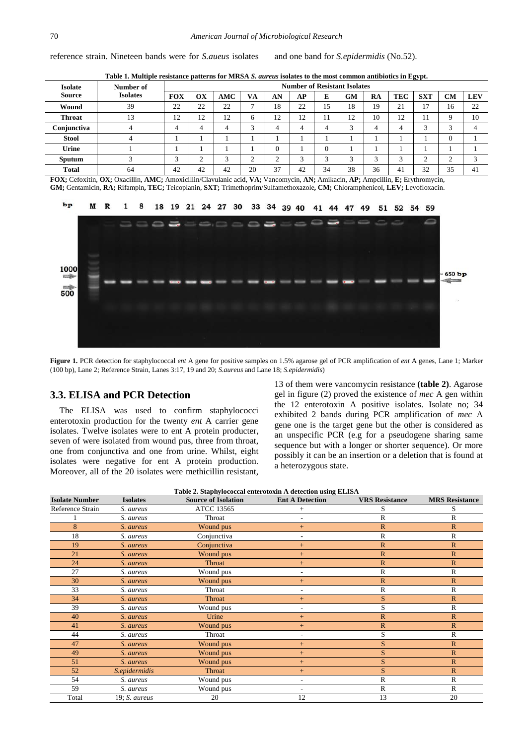reference strain. Nineteen bands were for *S.aueus* isolates and one band for *S.epidermidis* (No.52).

| Table 1. Multiple resistance patterns for MRSA S. aureus isolates to the most common antibiotics in Egypt. |  |
|------------------------------------------------------------------------------------------------------------|--|
|                                                                                                            |  |

<span id="page-2-0"></span>

| <b>Isolate</b> | Number of       | <b>Number of Resistant Isolates</b> |             |          |              |          |    |            |                        |    |            |             |           |            |
|----------------|-----------------|-------------------------------------|-------------|----------|--------------|----------|----|------------|------------------------|----|------------|-------------|-----------|------------|
| <b>Source</b>  | <b>Isolates</b> | <b>FOX</b>                          | OX          | AMC      | VA           | AN       | AP | E          | GM                     | RA | <b>TEC</b> | <b>SXT</b>  | <b>CM</b> | <b>LEV</b> |
| Wound          | 39              | 22                                  | 22          | 22       |              | 18       | 22 | 15         | 18                     | 19 | 21         | 17          | 16        | 22         |
| <b>Throat</b>  | 13              | 12                                  | 12          | 12       | <sub>(</sub> | 12       | 12 | 11         | 12                     | 10 | 12         | 11          | Q         | 10         |
| Conjunctiva    | 4               | 4                                   | 4           | $\Delta$ | ⌒            | ⊿        |    | 4          | $\mathbf{\mathcal{R}}$ |    | 4          | 3           | ⌒         |            |
| <b>Stool</b>   | 4               |                                     |             |          |              |          |    |            |                        |    |            |             |           |            |
| Urine          |                 |                                     |             |          |              | $\theta$ |    |            |                        |    |            |             |           |            |
| Sputum         |                 | $\sim$<br>J                         | $\sim$<br>∠ | $\sim$   | ◠            | $\sim$   |    | $\sqrt{2}$ | 3                      | κ  | $\sqrt{2}$ | $\sim$<br>∸ |           |            |
| <b>Total</b>   | 64              | 42                                  | 42          | 42       | 20           | 37       | 42 | 34         | 38                     | 36 | 41         | 32          | 35        | 41         |

**FOX;** Cefoxitin, **OX;** Oxacillin, **AMC;** Amoxicillin/Clavulanic acid, **VA;** Vancomycin, **AN;** Amikacin, **AP;** Ampcillin, **E;** Erythromycin, **GM;** Gentamicin, **RA;** Rifampin**, TEC;** Teicoplanin, **SXT;** Trimethoprim/Sulfamethoxazole**, CM;** Chloramphenicol, **LEV;** Levofloxacin.

<span id="page-2-1"></span>

**Figure 1.** PCR detection for staphylococcal *ent* A gene for positive samples on 1.5% agarose gel of PCR amplification of *ent* A genes, Lane 1; Marker (100 bp), Lane 2; Reference Strain, Lanes 3:17, 19 and 20; *S.aureus* and Lane 18; *S.epidermidis*)

#### **3.3. ELISA and PCR Detection**

The ELISA was used to confirm staphylococci enterotoxin production for the twenty *ent* A carrier gene isolates. Twelve isolates were to ent A protein producter, seven of were isolated from wound pus, three from throat, one from conjunctiva and one from urine. Whilst, eight isolates were negative for ent A protein production. Moreover, all of the 20 isolates were methicillin resistant, 13 of them were vancomycin resistance **(table 2)**. Agarose gel in figure (2) proved the existence of *mec* A gen within the 12 enterotoxin A positive isolates. Isolate no; 34 exhibited 2 bands during PCR amplification of *mec* A gene one is the target gene but the other is considered as an unspecific PCR (e.g for a pseudogene sharing same sequence but with a longer or shorter sequence). Or more possibly it can be an insertion or a deletion that is found at a heterozygous state.

| Table 2. Staphylococcal enterotoxin A detection using ELISA |                 |                            |                        |                       |                       |  |  |  |  |
|-------------------------------------------------------------|-----------------|----------------------------|------------------------|-----------------------|-----------------------|--|--|--|--|
| <b>Isolate Number</b>                                       | <b>Isolates</b> | <b>Source of Isolation</b> | <b>Ent A Detection</b> | <b>VRS</b> Resistance | <b>MRS</b> Resistance |  |  |  |  |
| Reference Strain                                            | S. aureus       | <b>ATCC 13565</b>          | $+$                    | S                     | S                     |  |  |  |  |
|                                                             | S. aureus       | Throat                     |                        | $\mathbb{R}$          | $\mathbb{R}$          |  |  |  |  |
| 8                                                           | S. aureus       | Wound pus                  | $+$                    | $\mathbb{R}$          | $\mathbb{R}$          |  |  |  |  |
| 18                                                          | S. aureus       | Conjunctiva                |                        | $\mathbb{R}$          | $\mathbb{R}$          |  |  |  |  |
| 19                                                          | S. aureus       | Conjunctiva                | $+$                    | $\mathbb{R}$          | $\mathbb{R}$          |  |  |  |  |
| 21                                                          | S. aureus       | Wound pus                  | $+$                    | $\mathbb{R}$          | $\mathbb{R}$          |  |  |  |  |
| 24                                                          | S. aureus       | Throat                     | $+$                    | $\mathbb{R}$          | $\mathbb{R}$          |  |  |  |  |
| 27                                                          | S. aureus       | Wound pus                  |                        | $\mathbb{R}$          | $\mathbb{R}$          |  |  |  |  |
| 30                                                          | S. aureus       | Wound pus                  | $+$                    | $\mathbb{R}$          | $\mathbb{R}$          |  |  |  |  |
| 33                                                          | S. aureus       | Throat                     | ٠                      | $\mathbb{R}$          | $\mathbb{R}$          |  |  |  |  |
| 34                                                          | S. aureus       | <b>Throat</b>              | $+$                    | S                     | $\mathbb{R}$          |  |  |  |  |
| 39                                                          | S. aureus       | Wound pus                  | ٠                      | S                     | $\mathbb{R}$          |  |  |  |  |
| 40                                                          | S. aureus       | Urine                      | $+$                    | $\mathbb{R}$          | $\mathbb{R}$          |  |  |  |  |
| 41                                                          | S. aureus       | Wound pus                  | $+$                    | $\mathbb{R}$          | $\mathbb{R}$          |  |  |  |  |
| 44                                                          | S. aureus       | Throat                     | ٠                      | S                     | $\mathbb{R}$          |  |  |  |  |
| 47                                                          | S. aureus       | Wound pus                  | $+$                    | S                     | $\mathbb{R}$          |  |  |  |  |
| 49                                                          | S. aureus       | Wound pus                  | $+$                    | S                     | $\mathbb{R}$          |  |  |  |  |
| 51                                                          | S. aureus       | Wound pus                  | $+$                    | S                     | $\mathbb{R}$          |  |  |  |  |
| 52                                                          | S.epidermidis   | Throat                     | $+$                    | S                     | $\mathbb{R}$          |  |  |  |  |
| 54                                                          | S. aureus       | Wound pus                  | ٠                      | $\mathbb{R}$          | $\mathbb{R}$          |  |  |  |  |
| 59                                                          | S. aureus       | Wound pus                  | ٠                      | $\mathbb{R}$          | $\mathbb{R}$          |  |  |  |  |
| Total                                                       | 19; S. aureus   | 20                         | 12                     | 13                    | 20                    |  |  |  |  |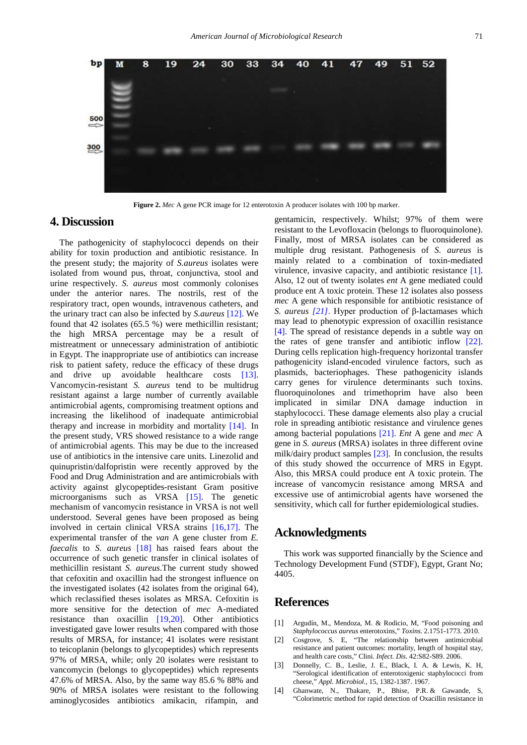

**Figure 2.** *Mec* A gene PCR image for 12 enterotoxin A producer isolates with 100 bp marker.

## **4. Discussion**

The pathogenicity of staphylococci depends on their ability for toxin production and antibiotic resistance. In the present study; the majority of *S.aureus* isolates were isolated from wound pus, throat, conjunctiva, stool and urine respectively. *S. aureus* most commonly colonises under the anterior nares. The nostrils, rest of the respiratory tract, open wounds, intravenous catheters, and the urinary tract can also be infected by *S.aureus* [\[12\].](#page-4-7) We found that 42 isolates (65.5 %) were methicillin resistant; the high MRSA percentage may be a result of mistreatment or unnecessary administration of antibiotic in Egypt. The inappropriate use of antibiotics can increase risk to patient safety, reduce the efficacy of these drugs and drive up avoidable healthcare costs [\[13\].](#page-4-8) Vancomycin-resistant *S. aureus* tend to be multidrug resistant against a large number of currently available antimicrobial agents, compromising treatment options and increasing the likelihood of inadequate antimicrobial therapy and increase in morbidity and mortality [\[14\].](#page-4-9) In the present study, VRS showed resistance to a wide range of antimicrobial agents. This may be due to the increased use of antibiotics in the intensive care units. Linezolid and quinupristin/dalfopristin were recently approved by the Food and Drug Administration and are antimicrobials with activity against glycopeptides-resistant Gram positive microorganisms such as VRSA [\[15\].](#page-4-10) The genetic mechanism of vancomycin resistance in VRSA is not well understood. Several genes have been proposed as being involved in certain clinical VRSA strains [\[16,17\].](#page-4-11) The experimental transfer of the *van* A gene cluster from *E. faecalis* to *S. aureus* [\[18\]](#page-4-12) has raised fears about the occurrence of such genetic transfer in clinical isolates of methicillin resistant *S. aureus*.The current study showed that cefoxitin and oxacillin had the strongest influence on the investigated isolates (42 isolates from the original 64), which reclassified theses isolates as MRSA. Cefoxitin is more sensitive for the detection of *mec* A-mediated resistance than oxacillin [\[19,20\].](#page-4-13) Other antibiotics investigated gave lower results when compared with those results of MRSA, for instance; 41 isolates were resistant to teicoplanin (belongs to glycopeptides) which represents 97% of MRSA, while; only 20 isolates were resistant to vancomycin (belongs to glycopeptides) which represents 47.6% of MRSA. Also, by the same way 85.6 % 88% and 90% of MRSA isolates were resistant to the following aminoglycosides antibiotics amikacin, rifampin, and

gentamicin, respectively. Whilst; 97% of them were resistant to the Levofloxacin (belongs to fluoroquinolone). Finally, most of MRSA isolates can be considered as multiple drug resistant. Pathogenesis of *S. aureus* is mainly related to a combination of toxin-mediated virulence, invasive capacity, and antibiotic resistance [\[1\].](#page-3-0) Also, 12 out of twenty isolates *ent* A gene mediated could produce ent A toxic protein. These 12 isolates also possess *mec* A gene which responsible for antibiotic resistance of *S. aureus [\[21\]](#page-4-14)*. Hyper production of β-lactamases which may lead to phenotypic expression of oxacillin resistance [\[4\].](#page-3-3) The spread of resistance depends in a subtle way on the rates of gene transfer and antibiotic inflow [\[22\].](#page-4-15) During cells replication high-frequency horizontal transfer pathogenicity island-encoded virulence factors, such as plasmids, bacteriophages. These pathogenicity islands carry genes for virulence determinants such toxins. fluoroquinolones and trimethoprim have also been implicated in similar DNA damage induction in staphylococci. These damage elements also play a crucial role in spreading antibiotic resistance and virulence genes among bacterial populations [\[21\].](#page-4-14) *Ent* A gene and *mec* A gene in *S. aureus* (MRSA) isolates in three different ovine milk/dairy product samples [\[23\].](#page-4-16) In conclusion, the results of this study showed the occurrence of MRS in Egypt. Also, this MRSA could produce ent A toxic protein. The increase of vancomycin resistance among MRSA and excessive use of antimicrobial agents have worsened the sensitivity, which call for further epidemiological studies.

## **Acknowledgments**

This work was supported financially by the Science and Technology Development Fund (STDF), Egypt, Grant No; 4405.

## **References**

- <span id="page-3-0"></span>[1] Argudín, M., Mendoza, M. & Rodicio, M, "Food poisoning and *Staphylococcus aureus* enterotoxins," *Toxins*. 2.1751-1773. 2010.
- <span id="page-3-1"></span>[2] Cosgrove, S. E, "The relationship between antimicrobial resistance and patient outcomes: mortality, length of hospital stay, and health care costs," Clini*. Infect. Dis*. 42:S82-S89. 2006.
- <span id="page-3-2"></span>[3] Donnelly, C. B., Leslie, J. E., Black, I. A. & Lewis, K. H, "Serological identification of enterotoxigenic staphylococci from cheese," *Appl. Microbiol*., 15, 1382-1387. 1967.
- <span id="page-3-3"></span>[4] Ghanwate, N., Thakare, P., Bhise, P.R. & Gawande, S. "Colorimetric method for rapid detection of Oxacillin resistance in